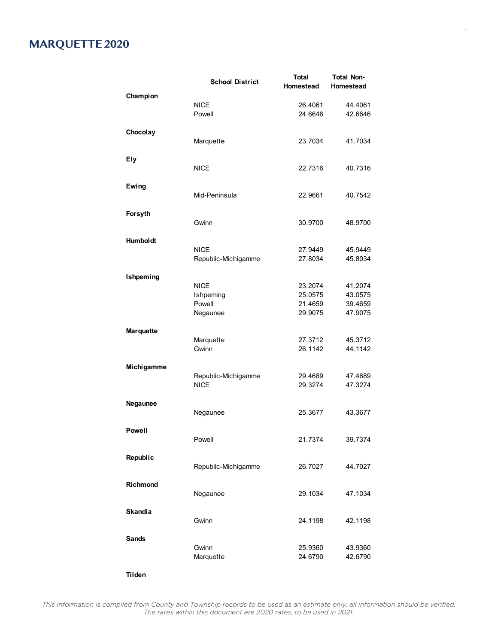## **MARQUETTE 2020**

|                  | <b>School District</b> | <b>Total</b><br>Homestead | <b>Total Non-</b><br>Homestead |
|------------------|------------------------|---------------------------|--------------------------------|
| Champion         |                        |                           |                                |
|                  | <b>NICE</b>            | 26.4061                   | 44.4061                        |
|                  | Powell                 | 24.6646                   | 42.6646                        |
| Chocolay         |                        |                           |                                |
|                  | Marquette              | 23.7034                   | 41.7034                        |
| Ely              |                        |                           |                                |
|                  | NICE                   | 22.7316                   | 40.7316                        |
| Ewing            |                        |                           |                                |
|                  | Mid-Peninsula          | 22.9661                   | 40.7542                        |
|                  |                        |                           |                                |
| Forsyth          | Gwinn                  | 30.9700                   | 48.9700                        |
|                  |                        |                           |                                |
| <b>Humboldt</b>  |                        |                           |                                |
|                  | <b>NICE</b>            | 27.9449                   | 45.9449                        |
|                  | Republic-Michigamme    | 27.8034                   | 45.8034                        |
| Ishpeming        |                        |                           |                                |
|                  | <b>NICE</b>            | 23.2074                   | 41.2074                        |
|                  | Ishpeming              | 25.0575                   | 43.0575                        |
|                  | Powell                 | 21.4659                   | 39.4659                        |
|                  | Negaunee               | 29.9075                   | 47.9075                        |
| <b>Marquette</b> |                        |                           |                                |
|                  | Marquette              | 27.3712                   | 45.3712                        |
|                  | Gwinn                  | 26.1142                   | 44.1142                        |
| Michigamme       |                        |                           |                                |
|                  | Republic-Michigamme    | 29.4689                   | 47.4689                        |
|                  | NICE                   | 29.3274                   | 47.3274                        |
| Negaunee         |                        |                           |                                |
|                  | Negaunee               | 25.3677                   | 43.3677                        |
| <b>Powell</b>    |                        |                           |                                |
|                  | Powell                 | 21.7374                   | 39.7374                        |
| Republic         |                        |                           |                                |
|                  | Republic-Michigamme    | 26.7027                   | 44.7027                        |
|                  |                        |                           |                                |
| Richmond         | Negaunee               | 29.1034                   | 47.1034                        |
|                  |                        |                           |                                |
| <b>Skandia</b>   |                        |                           |                                |
|                  | Gwinn                  | 24.1198                   | 42.1198                        |
| <b>Sands</b>     |                        |                           |                                |
|                  | Gwinn                  | 25.9360                   | 43.9360                        |
|                  | Marquette              | 24.6790                   | 42.6790                        |
|                  |                        |                           |                                |

**Tilden**